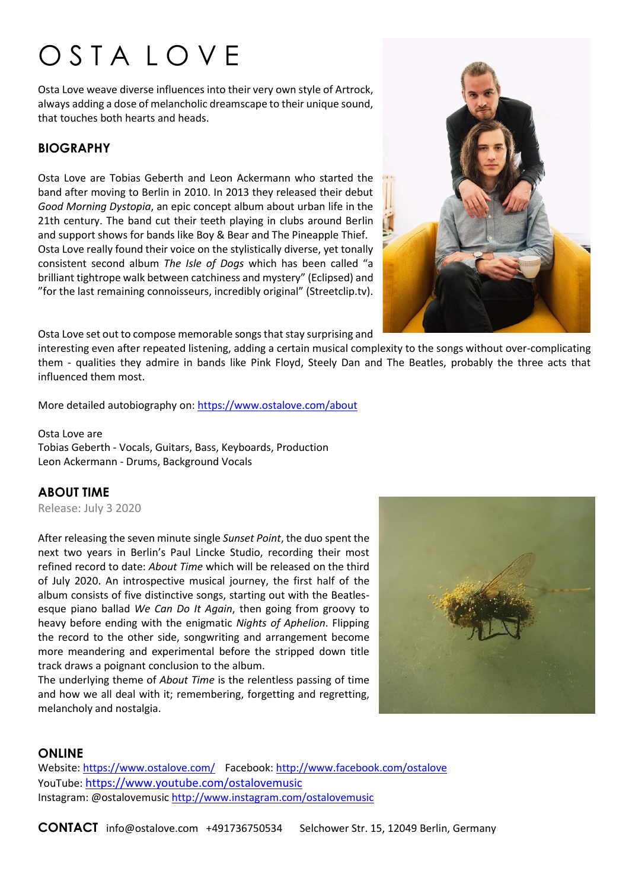# O S T A L O V E

Osta Love weave diverse influences into their very own style of Artrock, always adding a dose of melancholic dreamscape to their unique sound, that touches both hearts and heads.

## **BIOGRAPHY**

Osta Love are Tobias Geberth and Leon Ackermann who started the band after moving to Berlin in 2010. In 2013 they released their debut *Good Morning Dystopia*, an epic concept album about urban life in the 21th century. The band cut their teeth playing in clubs around Berlin and support shows for bands like Boy & Bear and The Pineapple Thief. Osta Love really found their voice on the stylistically diverse, yet tonally consistent second album *The Isle of Dogs* which has been called "a brilliant tightrope walk between catchiness and mystery" (Eclipsed) and "for the last remaining connoisseurs, incredibly original" (Streetclip.tv).



Osta Love set out to compose memorable songs that stay surprising and

interesting even after repeated listening, adding a certain musical complexity to the songs without over-complicating them - qualities they admire in bands like Pink Floyd, Steely Dan and The Beatles, probably the three acts that influenced them most.

More detailed autobiography on:<https://www.ostalove.com/about>

Osta Love are Tobias Geberth - Vocals, Guitars, Bass, Keyboards, Production Leon Ackermann - Drums, Background Vocals

# **ABOUT TIME**

Release: July 3 2020

After releasing the seven minute single *Sunset Point*, the duo spent the next two years in Berlin's Paul Lincke Studio, recording their most refined record to date: *About Time* which will be released on the third of July 2020. An introspective musical journey, the first half of the album consists of five distinctive songs, starting out with the Beatlesesque piano ballad *We Can Do It Again*, then going from groovy to heavy before ending with the enigmatic *Nights of Aphelion*. Flipping the record to the other side, songwriting and arrangement become more meandering and experimental before the stripped down title track draws a poignant conclusion to the album.

The underlying theme of *About Time* is the relentless passing of time and how we all deal with it; remembering, forgetting and regretting, melancholy and nostalgia.



# **ONLINE**

Website: <https://www.ostalove.com/> Facebook:<http://www.facebook.com/ostalove> YouTube: <https://www.youtube.com/ostalovemusic> Instagram: @ostalovemusi[c http://www.instagram.com/ostalovemusic](http://www.instagram.com/ostalovemusic)

**CONTACT** info@ostalove.com +491736750534 Selchower Str. 15, 12049 Berlin, Germany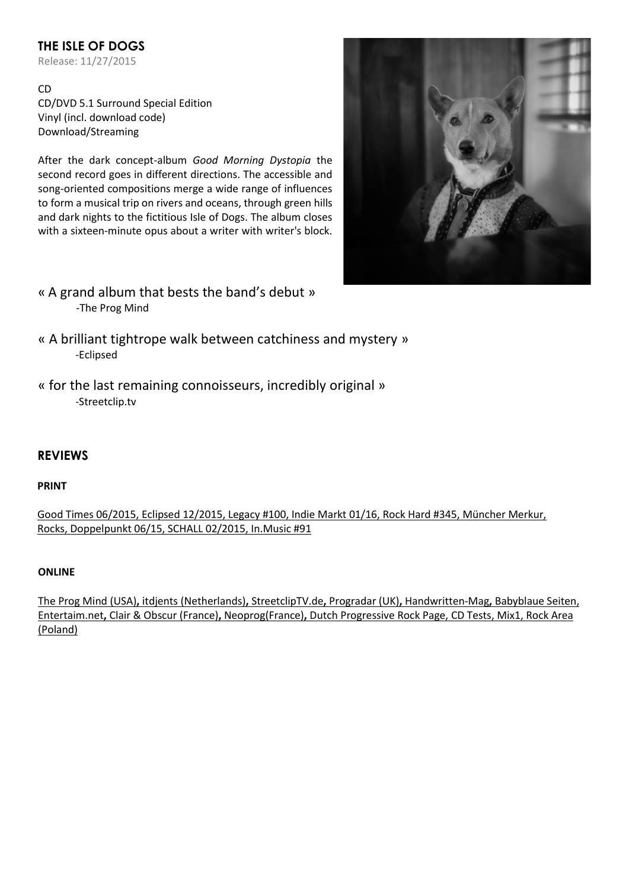# **THE ISLE OF DOGS**

Release: 11/27/2015

CD CD/DVD 5.1 Surround Special Edition Vinyl (incl. download code) Download/Streaming

After the dark concept-album *Good Morning Dystopia* the second record goes in different directions. The accessible and song-oriented compositions merge a wide range of influences to form a musical trip on rivers and oceans, through green hills and dark nights to the fictitious Isle of Dogs. The album closes with a sixteen-minute opus about a writer with writer's block.



- « A grand album that bests the band's debut » -The Prog Mind
- « A brilliant tightrope walk between catchiness and mystery » -Eclipsed
- « for the last remaining connoisseurs, incredibly original » -Streetclip.tv

# **REVIEWS**

#### **PRINT**

Good Times 06/2015, [Eclipsed 12/2015,](http://www.eclipsed.de/archiv/ausgaben/eclipsed-nr-176-12-2015-1-2016) Legacy #100, Indie Markt 01/16, Rock Hard #345, Müncher Merkur, Rocks, Doppelpunkt 06/15, SCHALL 02/2015, In.Music #91

#### **ONLINE**

[The Prog Mind](http://theprogmind.com/2015/11/13/osta-love-the-isle-of-dogs/) (USA)**,** [itdjents](http://www.itdjents.com/beyond-music/whats-the-sound-of-november-double-feature/) (Netherlands)**,** [StreetclipTV.de](http://www.streetclip.tv/magazine/details/reviews/article/osta-love-the-isle-of-dogs/)**,** Progradar (UK)**,** [Handwritten-Mag](http://www.handwritten-mag.de/osta-love-isle-of-the-dog-osta-love-recordjet-27-11-2015/)**,** [Babyblaue Seiten,](http://www.babyblaue-seiten.de/index.php?albumId=15465&content=review) [Entertaim.net](https://entertaimnet.wordpress.com/2015/11/30/osta-love-the-isle-of-dogs/)**,** [Clair & Obscur](http://clairetobscur.fr/osta-love-the-isle-of-dogs/) (France)**,** [Neoprog\(](http://neoprog.eu/critique/osta_love/the_isle_of_dogs)France)**,** Dutch Progressive Rock Page, [CD Tests,](http://www.cdtests.de/the-isle-of-dogs-von-osta-love-2015/) [Mix1,](http://www.mix1.de/music/osta-love/the-isle-of-dogs/) [Rock Area](http://www.rockarea.eu/articles.php?article_id=4344) (Poland)